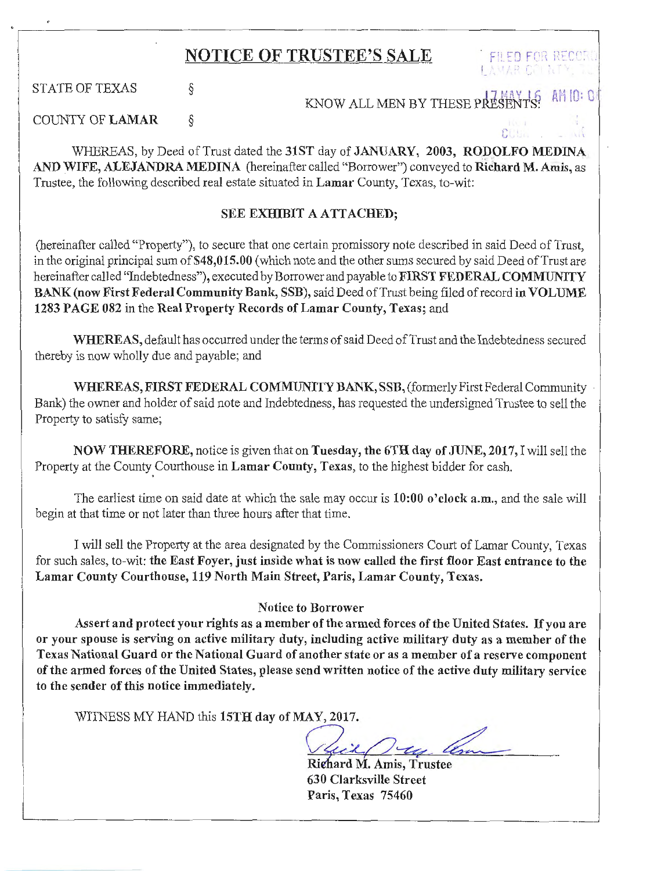## NOTICE OF TRUSTEE'S SALE FILED FOR RECOR

STATE OF TEXAS §

KNOW ALL MEN BY THESE FRE

*i'* ..,

COUNTY OF LAMAR §

WHEREAS, by Deed of Trust dated the 31ST day of JANUARY, 2003, RODOLFO MEDINA AND WIFE, ALEJANDRA MEDINA (hereinafter called "Borrower") conveyed to Richard M. Amis, as Trustee, the following described real estate situated in Lamar County, Texas, to-wit:

## SEE EXHIBIT A ATTACHED;

(hereinafter called "Property"), to secure that one certain promissory note described in said Deed of Trust, in the original principal sum of \$48,015.00 (which note and the other sums secured by said Deed of Trust are hereinafter called "Indebtedness"), executed by Borrower and payable to FIRST FEDERAL COMMUNITY BANK (now First Federal Community Bank, SSB), said Deed of Trust being filed of record in VOLUME 1283 PAGE 082 in the Real Property Records of Lamar County, Texas; and

WHEREAS, default has occurred under the terms of said Deed of Trust and the Indebtedness secured thereby is now wholly due and payable; and

WHEREAS, FIRST FEDERAL COMMUNITY BANK, SSB, (formerly First Federal Community Bank) the owner and holder of said note and Indebtedness, has requested the undersigned Trustee to sell the Property to satisfy same;

NOW THEREFORE, notice is given that on Tuesday, the 6TH day of JUNE, 2017, I will sell the Property at the County Courthouse in Lamar County, Texas, to the highest bidder for cash.

The earliest time on said date at which the sale may occur is 10:00 o'clock a.m., and the sale will begin at that time or not later than three hours after that time.

I will sell the Property at the area designated by the Commissioners Court of Lamar County, Texas for such sales, to-wit: the East Foyer, just inside what is now called the first floor East entrance to the Lamar County Courthouse, 119 North Main Street, Paris, Lamar County, Texas.

## Notice to Borrower

Assert and protect your rights as a member of the armed forces of the United States. If you are or your spouse is serving on active military duty, including active military duty as a member of the Texas National Guard or the National Guard of another state or as a member of a reserve component of the armed forces of the United States, please send written notice of the active duty military service to the sender of this notice immediately.

WITNESS MY HAND this 15TH day of MAY, 2017.

L\_\_\_

Richard M. Amis, Trustee 630 Clarksville Street Paris, Texas 75460